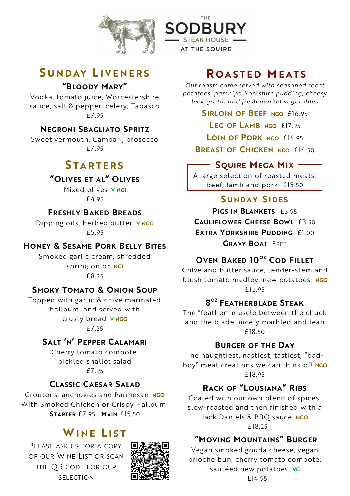



# **S U N D AY L I V E N E R S "BLOODY MARY"**

Vodka, tomato juice, Worcestershire sauce, salt & pepper, celery, Tabasco £7.95

# **NEGRONI SBAGLIATO SPRITZ**

Sweet vermouth, Campari, prosecco £7.95

# **S T A R T E R S**

### **"OLIVES ET AL" OLIVES**

Mixed olives **V NGI**  £4.95

# **FRESHLY BAKED BREADS**

Dipping oils, herbed butter **V NGO**  £5.95

### **HONEY & SESAME PORK BELLY BITES**

Smoked garlic cream, shredded spring onion **NGI** £8.25

### **SMOKY TOMATO & ONION SOUP**

Topped with garlic & chive marinated halloumi and served with crusty bread **V NGO**  £7.25

### **SALT 'N' PEPPER CALAMARI**

Cherry tomato compote, pickled shallot salad £7.95

### **CLASSIC CAESAR SALAD**

Croutons, anchovies and Parmesan **NGO** With Smoked Chicken **or** Crispy Halloumi **STARTER** £7.95 **MAIN** £15.50

# **WINE LIST**

PLEASE ASK US FOR A COPY OF OUR WINE LIST OR SCAN THE QR CODE FOR OUR SELECTION



# **R O A S T E D M E A T S**

*Our roasts come served with seasoned roast potatoes, parsnips, Yorkshire pudding, cheesy leek gratin and fresh market vegetables* 

**SIRLOIN OF BEEF NGO** £16.<sup>95</sup>

**LEG OF LAMB NGO** £17.<sup>95</sup>

**LOIN OF PORK NGO** £14.<sup>95</sup>

**BREAST OF CHICKEN NGO** £14.<sup>50</sup>

# **SQUIRE MEGA MIX**

A large selection of roasted meats; beef, lamb and pork £18.50

# **S U N D A Y S I D E S**

**PIGS IN BLANKETS** £3.95 **CAULIFLOWER CHEESE BOWL** £3.50 **EXTRA YORKSHIRE PUDDING** £1.00 **GRAVY BOAT** FREE

### **OVEN BAKED 10 OZ COD FILLET**

Chive and butter sauce, tender-stem and blush tomato medley, new potatoes **NGO** £15.95

# **8 OZ FEATHERBLADE STEAK**

The "feather" muscle between the chuck and the blade, nicely marbled and lean £18.50

#### **BURGER OF THE DAY**

The naughtiest, nastiest, tastiest, "badboy" meat creations we can think of! **NGO** £18.95

# **RACK OF "LOUSIANA" RIBS**

Coated with our own blend of spices, slow-roasted and then finished with a Jack Daniels & BBQ sauce **NGO** £18.<sup>25</sup>

#### **"MOVING MOUNTAINS" BURGER**

Vegan smoked gouda cheese, vegan brioche bun, cherry tomato compote, sautéed new potatoes **VG** £14.95